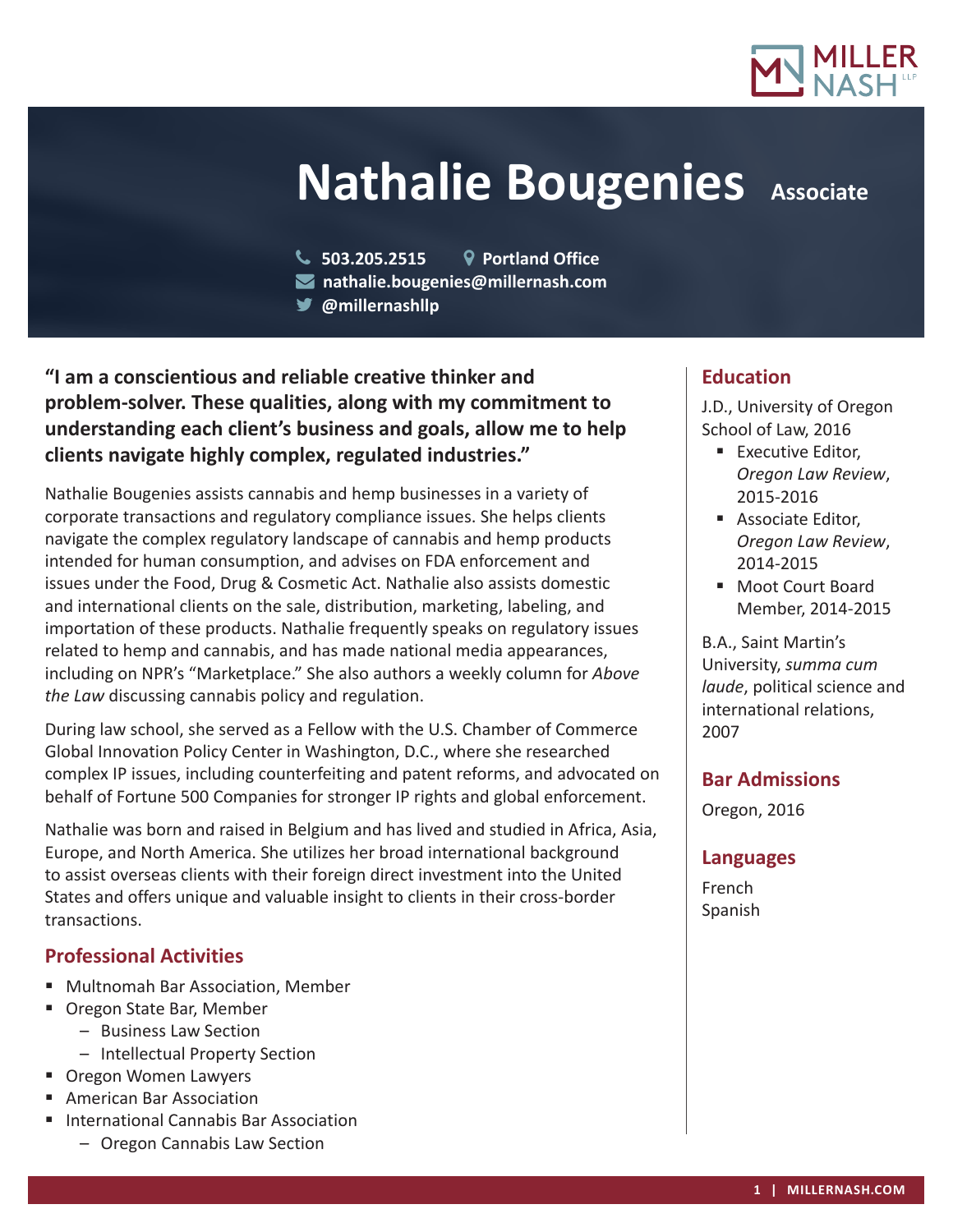

# **Nathalie Bougenies** Associate

- **503.205.2515 Portland Office**
- **nathalie.bougenies@millernash.com**
- **@millernashllp**

**"I am a conscientious and reliable creative thinker and problem-solver. These qualities, along with my commitment to understanding each client's business and goals, allow me to help clients navigate highly complex, regulated industries."**

Nathalie Bougenies assists cannabis and hemp businesses in a variety of corporate transactions and regulatory compliance issues. She helps clients navigate the complex regulatory landscape of cannabis and hemp products intended for human consumption, and advises on FDA enforcement and issues under the Food, Drug & Cosmetic Act. Nathalie also assists domestic and international clients on the sale, distribution, marketing, labeling, and importation of these products. Nathalie frequently speaks on regulatory issues related to hemp and cannabis, and has made national media appearances, including on NPR's "Marketplace." She also authors a weekly column for *Above the Law* discussing cannabis policy and regulation.

During law school, she served as a Fellow with the U.S. Chamber of Commerce Global Innovation Policy Center in Washington, D.C., where she researched complex IP issues, including counterfeiting and patent reforms, and advocated on behalf of Fortune 500 Companies for stronger IP rights and global enforcement.

Nathalie was born and raised in Belgium and has lived and studied in Africa, Asia, Europe, and North America. She utilizes her broad international background to assist overseas clients with their foreign direct investment into the United States and offers unique and valuable insight to clients in their cross-border transactions.

## **Professional Activities**

- Multnomah Bar Association, Member
- Oregon State Bar, Member
	- Business Law Section
	- Intellectual Property Section
- Oregon Women Lawyers
- **American Bar Association**
- International Cannabis Bar Association
	- Oregon Cannabis Law Section

## **Education**

J.D., University of Oregon School of Law, 2016

- **Executive Editor,** *Oregon Law Review*, 2015-2016
- **Associate Editor,** *Oregon Law Review*, 2014-2015
- Moot Court Board Member, 2014-2015

B.A., Saint Martin's University, *summa cum laude*, political science and international relations, 2007

#### **Bar Admissions**

Oregon, 2016

#### **Languages**

French Spanish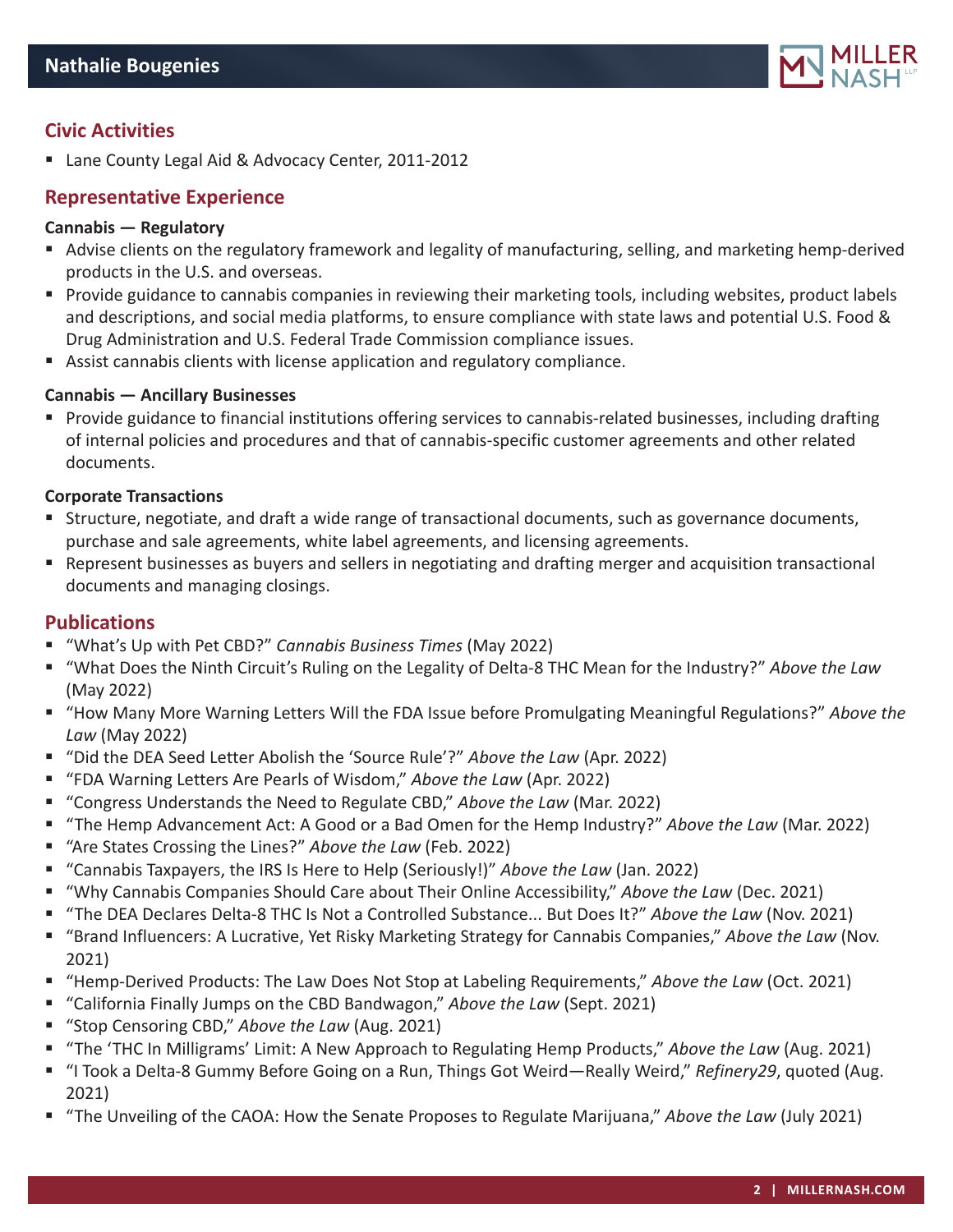

# **Civic Activities**

■ Lane County Legal Aid & Advocacy Center, 2011-2012

# **Representative Experience**

## **Cannabis — Regulatory**

- Advise clients on the regulatory framework and legality of manufacturing, selling, and marketing hemp-derived products in the U.S. and overseas.
- Provide guidance to cannabis companies in reviewing their marketing tools, including websites, product labels and descriptions, and social media platforms, to ensure compliance with state laws and potential U.S. Food & Drug Administration and U.S. Federal Trade Commission compliance issues.
- Assist cannabis clients with license application and regulatory compliance.

#### **Cannabis — Ancillary Businesses**

**Provide guidance to financial institutions offering services to cannabis-related businesses, including drafting** of internal policies and procedures and that of cannabis-specific customer agreements and other related documents.

#### **Corporate Transactions**

- Structure, negotiate, and draft a wide range of transactional documents, such as governance documents, purchase and sale agreements, white label agreements, and licensing agreements.
- Represent businesses as buyers and sellers in negotiating and drafting merger and acquisition transactional documents and managing closings.

#### **Publications**

- "What's Up with Pet CBD?" *Cannabis Business Times* (May 2022)
- "What Does the Ninth Circuit's Ruling on the Legality of Delta-8 THC Mean for the Industry?" *Above the Law* (May 2022)
- "How Many More Warning Letters Will the FDA Issue before Promulgating Meaningful Regulations?" Above the *Law* (May 2022)
- "Did the DEA Seed Letter Abolish the 'Source Rule'?" *Above the Law* (Apr. 2022)
- "FDA Warning Letters Are Pearls of Wisdom," *Above the Law* (Apr. 2022)
- "Congress Understands the Need to Regulate CBD," *Above the Law* (Mar. 2022)
- "The Hemp Advancement Act: A Good or a Bad Omen for the Hemp Industry?" *Above the Law* (Mar. 2022)
- "Are States Crossing the Lines?" *Above the Law* (Feb. 2022)
- "Cannabis Taxpayers, the IRS Is Here to Help (Seriously!)" *Above the Law* (Jan. 2022)
- "Why Cannabis Companies Should Care about Their Online Accessibility," *Above the Law* (Dec. 2021)
- "The DEA Declares Delta-8 THC Is Not a Controlled Substance... But Does It?" *Above the Law* (Nov. 2021)
- "Brand Influencers: A Lucrative, Yet Risky Marketing Strategy for Cannabis Companies," *Above the Law* (Nov. 2021)
- "Hemp-Derived Products: The Law Does Not Stop at Labeling Requirements," *Above the Law* (Oct. 2021)
- "California Finally Jumps on the CBD Bandwagon," *Above the Law* (Sept. 2021)
- "Stop Censoring CBD," *Above the Law* (Aug. 2021)
- "The 'THC In Milligrams' Limit: A New Approach to Regulating Hemp Products," *Above the Law* (Aug. 2021)
- "I Took a Delta-8 Gummy Before Going on a Run, Things Got Weird—Really Weird," *Refinery29*, quoted (Aug. 2021)
- "The Unveiling of the CAOA: How the Senate Proposes to Regulate Marijuana," *Above the Law* (July 2021)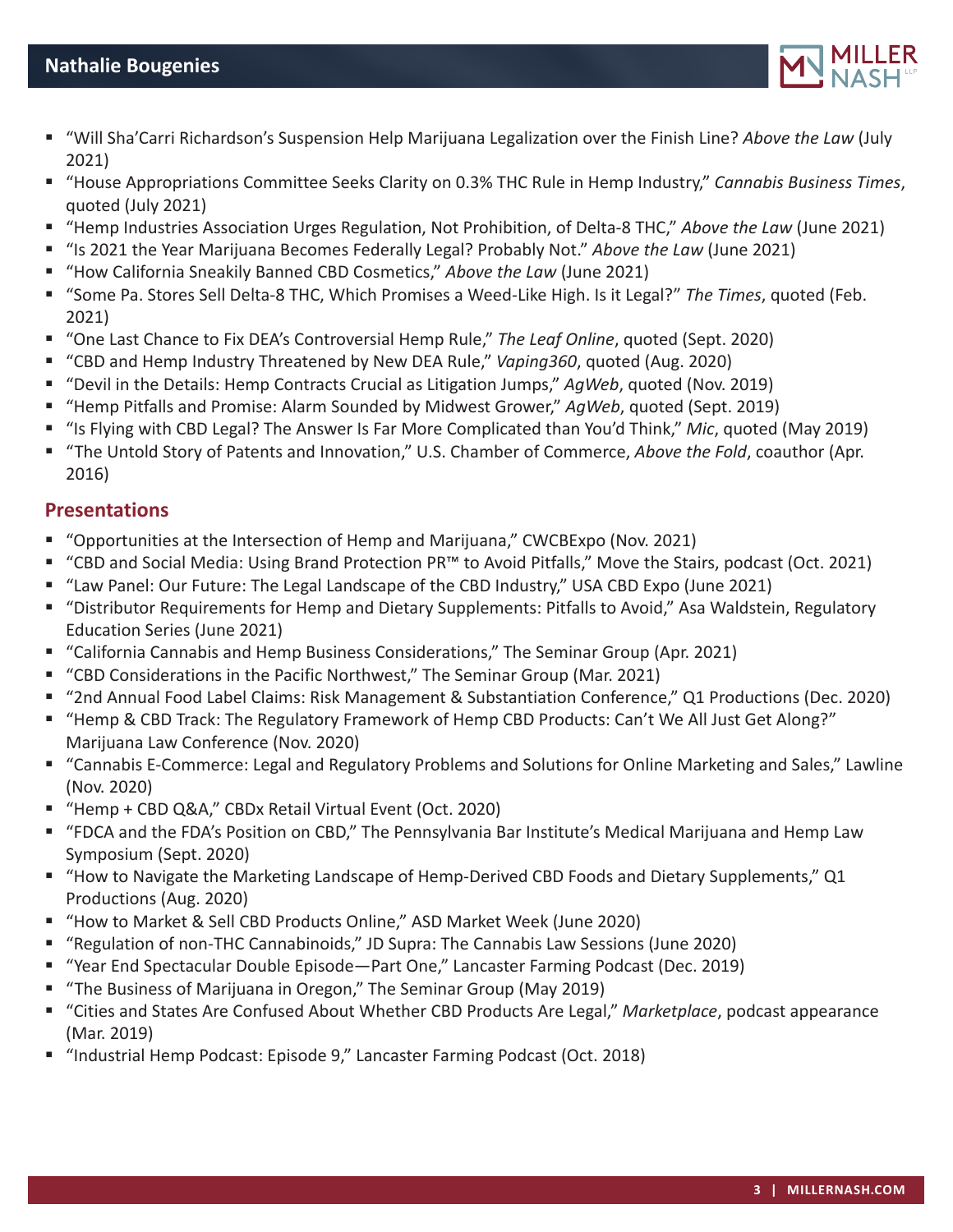

- "Will Sha'Carri Richardson's Suspension Help Marijuana Legalization over the Finish Line? *Above the Law* (July 2021)
- "House Appropriations Committee Seeks Clarity on 0.3% THC Rule in Hemp Industry," *Cannabis Business Times*, quoted (July 2021)
- "Hemp Industries Association Urges Regulation, Not Prohibition, of Delta-8 THC," *Above the Law* (June 2021)
- "Is 2021 the Year Marijuana Becomes Federally Legal? Probably Not." *Above the Law* (June 2021)
- "How California Sneakily Banned CBD Cosmetics," *Above the Law* (June 2021)
- "Some Pa. Stores Sell Delta-8 THC, Which Promises a Weed-Like High. Is it Legal?" *The Times*, quoted (Feb. 2021)
- "One Last Chance to Fix DEA's Controversial Hemp Rule," *The Leaf Online*, quoted (Sept. 2020)
- "CBD and Hemp Industry Threatened by New DEA Rule," *Vaping360*, quoted (Aug. 2020)
- "Devil in the Details: Hemp Contracts Crucial as Litigation Jumps," *AgWeb*, quoted (Nov. 2019)
- "Hemp Pitfalls and Promise: Alarm Sounded by Midwest Grower," *AgWeb*, quoted (Sept. 2019)
- "Is Flying with CBD Legal? The Answer Is Far More Complicated than You'd Think," *Mic*, quoted (May 2019)
- "The Untold Story of Patents and Innovation," U.S. Chamber of Commerce, *Above the Fold*, coauthor (Apr. 2016)

## **Presentations**

- "Opportunities at the Intersection of Hemp and Marijuana," CWCBExpo (Nov. 2021)
- "CBD and Social Media: Using Brand Protection PR™ to Avoid Pitfalls," Move the Stairs, podcast (Oct. 2021)
- "Law Panel: Our Future: The Legal Landscape of the CBD Industry," USA CBD Expo (June 2021)
- "Distributor Requirements for Hemp and Dietary Supplements: Pitfalls to Avoid," Asa Waldstein, Regulatory Education Series (June 2021)
- "California Cannabis and Hemp Business Considerations," The Seminar Group (Apr. 2021)
- "CBD Considerations in the Pacific Northwest," The Seminar Group (Mar. 2021)
- "2nd Annual Food Label Claims: Risk Management & Substantiation Conference," Q1 Productions (Dec. 2020)
- "Hemp & CBD Track: The Regulatory Framework of Hemp CBD Products: Can't We All Just Get Along?" Marijuana Law Conference (Nov. 2020)
- "Cannabis E-Commerce: Legal and Regulatory Problems and Solutions for Online Marketing and Sales," Lawline (Nov. 2020)
- "Hemp + CBD Q&A," CBDx Retail Virtual Event (Oct. 2020)
- "FDCA and the FDA's Position on CBD," The Pennsylvania Bar Institute's Medical Marijuana and Hemp Law Symposium (Sept. 2020)
- "How to Navigate the Marketing Landscape of Hemp-Derived CBD Foods and Dietary Supplements," Q1 Productions (Aug. 2020)
- "How to Market & Sell CBD Products Online," ASD Market Week (June 2020)
- "Regulation of non-THC Cannabinoids," JD Supra: The Cannabis Law Sessions (June 2020)
- "Year End Spectacular Double Episode—Part One," Lancaster Farming Podcast (Dec. 2019)
- "The Business of Marijuana in Oregon," The Seminar Group (May 2019)
- "Cities and States Are Confused About Whether CBD Products Are Legal," *Marketplace*, podcast appearance (Mar. 2019)
- "Industrial Hemp Podcast: Episode 9," Lancaster Farming Podcast (Oct. 2018)